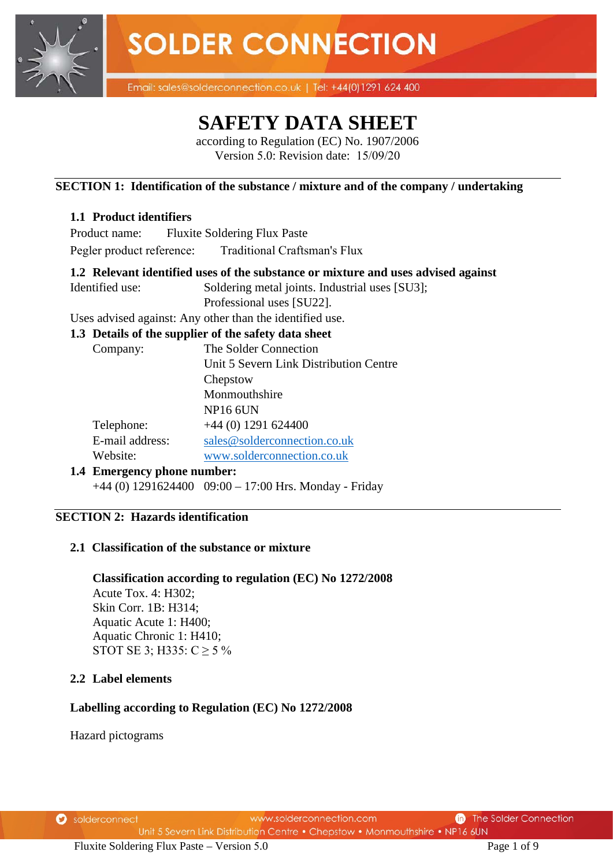

Email: sales@solderconnection.co.uk | Tel: +44(0)1291 624 400

## **SAFETY DATA SHEET**

according to Regulation (EC) No. 1907/2006 Version 5.0: Revision date: 15/09/20

#### **SECTION 1: Identification of the substance / mixture and of the company / undertaking**

### **1.1 Product identifiers**

Product name: Fluxite Soldering Flux Paste Pegler product reference: Traditional Craftsman's Flux

### **1.2 Relevant identified uses of the substance or mixture and uses advised against**

Identified use: Soldering metal joints. Industrial uses [SU3];

Professional uses [SU22].

Uses advised against: Any other than the identified use.

#### **1.3 Details of the supplier of the safety data sheet**

| Company:                | The Solder Connection                  |
|-------------------------|----------------------------------------|
|                         | Unit 5 Severn Link Distribution Centre |
|                         | Chepstow                               |
|                         | Monmouthshire                          |
|                         | <b>NP16 6UN</b>                        |
| Telephone:              | $+44$ (0) 1291 624400                  |
| E-mail address:         | sales@solderconnection.co.uk           |
| Website:                | www.solderconnection.co.uk             |
| Emorganov nhono numhoru |                                        |

**1.4 Emergency phone number:** +44 (0) 1291624400 09:00 – 17:00 Hrs. Monday - Friday

#### **SECTION 2: Hazards identification**

#### **2.1 Classification of the substance or mixture**

**Classification according to regulation (EC) No 1272/2008** Acute Tox. 4: H302; Skin Corr. 1B: H314; Aquatic Acute 1: H400; Aquatic Chronic 1: H410; STOT SE 3; H335:  $C \ge 5\%$ 

#### **2.2 Label elements**

#### **Labelling according to Regulation (EC) No 1272/2008**

Hazard pictograms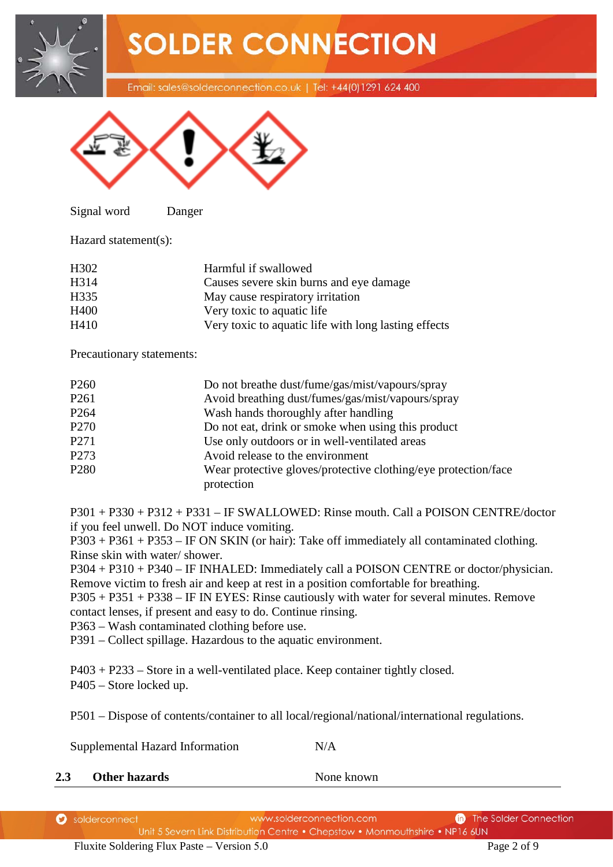**SOLDER CONNECTION** Email: sales@solderconnection.co.uk | Tel: +44(0)1291 624 400



Signal word Danger

Hazard statement(s):

| Harmful if swallowed                                 |
|------------------------------------------------------|
| Causes severe skin burns and eye damage              |
| May cause respiratory irritation                     |
| Very toxic to aquatic life.                          |
| Very toxic to aquatic life with long lasting effects |
|                                                      |

Precautionary statements:

| P <sub>260</sub> | Do not breathe dust/fume/gas/mist/vapours/spray                |
|------------------|----------------------------------------------------------------|
| P <sub>261</sub> | Avoid breathing dust/fumes/gas/mist/vapours/spray              |
| P <sub>264</sub> | Wash hands thoroughly after handling                           |
| P <sub>270</sub> | Do not eat, drink or smoke when using this product             |
| P271             | Use only outdoors or in well-ventilated areas                  |
| P273             | Avoid release to the environment                               |
| P <sub>280</sub> | Wear protective gloves/protective clothing/eye protection/face |
|                  | protection                                                     |

P301 + P330 + P312 + P331 – IF SWALLOWED: Rinse mouth. Call a POISON CENTRE/doctor if you feel unwell. Do NOT induce vomiting.

P303 + P361 + P353 – IF ON SKIN (or hair): Take off immediately all contaminated clothing. Rinse skin with water/ shower.

P304 + P310 + P340 – IF INHALED: Immediately call a POISON CENTRE or doctor/physician. Remove victim to fresh air and keep at rest in a position comfortable for breathing.

P305 + P351 + P338 – IF IN EYES: Rinse cautiously with water for several minutes. Remove contact lenses, if present and easy to do. Continue rinsing.

P363 – Wash contaminated clothing before use.

P391 – Collect spillage. Hazardous to the aquatic environment.

P403 + P233 – Store in a well-ventilated place. Keep container tightly closed.

P405 – Store locked up.

P501 – Dispose of contents/container to all local/regional/national/international regulations.

Supplemental Hazard Information N/A

**2.3** Other hazards None known

| Solderconnect | www.solderconnection.com                                                     | <b>n</b> The Solder Connection |
|---------------|------------------------------------------------------------------------------|--------------------------------|
|               | Unit 5 Severn Link Distribution Centre • Chepstow • Monmouthshire • NP16 6UN |                                |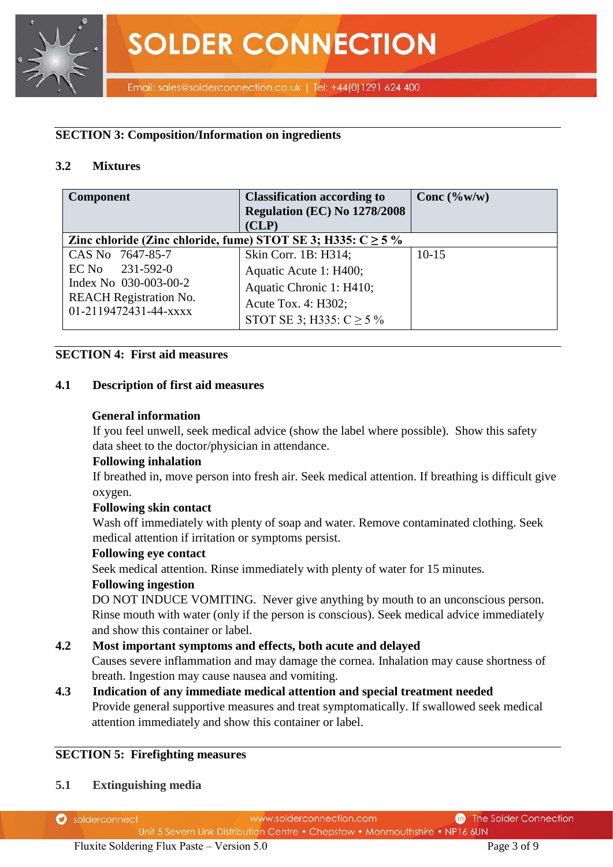

#### **SECTION 3: Composition/Information on ingredients**

#### **3.2 Mixtures**

| <b>Component</b>                                                 | <b>Classification according to</b><br>Regulation (EC) No 1278/2008<br>(CLP) | Conc $(\%w/w)$ |
|------------------------------------------------------------------|-----------------------------------------------------------------------------|----------------|
| Zinc chloride (Zinc chloride, fume) STOT SE 3; H335: $C \ge 5$ % |                                                                             |                |
| CAS No 7647-85-7                                                 | Skin Corr. 1B: H314;                                                        | $10-15$        |
| $EC$ No $231-592-0$                                              | Aquatic Acute 1: H400;                                                      |                |
| Index No 030-003-00-2                                            | Aquatic Chronic 1: H410;                                                    |                |
| <b>REACH Registration No.</b>                                    | Acute Tox. 4: H302;                                                         |                |
| 01-2119472431-44-xxxx                                            | STOT SE 3; H335: $C \ge 5\%$                                                |                |

#### **SECTION 4: First aid measures**

#### **4.1 Description of first aid measures**

#### **General information**

If you feel unwell, seek medical advice (show the label where possible). Show this safety data sheet to the doctor/physician in attendance.

#### **Following inhalation**

If breathed in, move person into fresh air. Seek medical attention. If breathing is difficult give oxygen.

#### **Following skin contact**

Wash off immediately with plenty of soap and water. Remove contaminated clothing. Seek medical attention if irritation or symptoms persist.

#### **Following eye contact**

Seek medical attention. Rinse immediately with plenty of water for 15 minutes.

#### **Following ingestion**

DO NOT INDUCE VOMITING. Never give anything by mouth to an unconscious person. Rinse mouth with water (only if the person is conscious). Seek medical advice immediately and show this container or label.

#### **4.2 Most important symptoms and effects, both acute and delayed**

Causes severe inflammation and may damage the cornea. Inhalation may cause shortness of breath. Ingestion may cause nausea and vomiting.

**4.3 Indication of any immediate medical attention and special treatment needed** Provide general supportive measures and treat symptomatically. If swallowed seek medical attention immediately and show this container or label.

#### **SECTION 5: Firefighting measures**

**5.1 Extinguishing media**

| <b>D</b> solderconnect | www.solderconnection.com                                                     | <b>n</b> The Solder Connection |
|------------------------|------------------------------------------------------------------------------|--------------------------------|
|                        | Unit 5 Severn Link Distribution Centre • Chepstow • Monmouthshire • NP16 6UN |                                |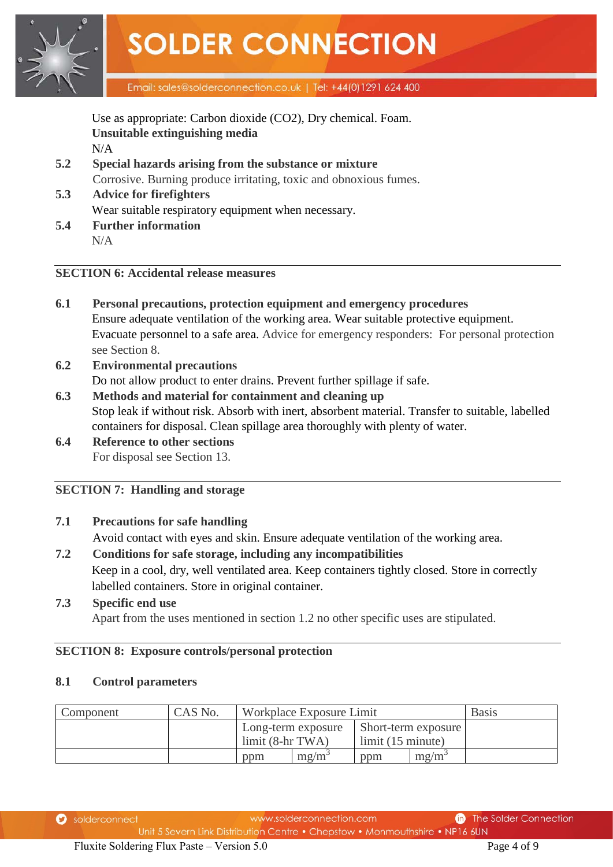

Use as appropriate: Carbon dioxide (CO2), Dry chemical. Foam. **Unsuitable extinguishing media** N/A

- **5.2 Special hazards arising from the substance or mixture** Corrosive. Burning produce irritating, toxic and obnoxious fumes.
- **5.3 Advice for firefighters** Wear suitable respiratory equipment when necessary.
- **5.4 Further information** N/A

#### **SECTION 6: Accidental release measures**

- **6.1 Personal precautions, protection equipment and emergency procedures** Ensure adequate ventilation of the working area. Wear suitable protective equipment. Evacuate personnel to a safe area. Advice for emergency responders: For personal protection see Section 8.
- **6.2 Environmental precautions** Do not allow product to enter drains. Prevent further spillage if safe.
- **6.3 Methods and material for containment and cleaning up** Stop leak if without risk. Absorb with inert, absorbent material. Transfer to suitable, labelled containers for disposal. Clean spillage area thoroughly with plenty of water.
- **6.4 Reference to other sections** For disposal see Section 13.

#### **SECTION 7: Handling and storage**

#### **7.1 Precautions for safe handling**

Avoid contact with eyes and skin. Ensure adequate ventilation of the working area.

**7.2 Conditions for safe storage, including any incompatibilities** Keep in a cool, dry, well ventilated area. Keep containers tightly closed. Store in correctly labelled containers. Store in original container.

#### **7.3 Specific end use** Apart from the uses mentioned in section 1.2 no other specific uses are stipulated.

#### **SECTION 8: Exposure controls/personal protection**

#### **8.1 Control parameters**

| Component | CAS No. | Workplace Exposure Limit |          |                            | <b>Basis</b>      |  |
|-----------|---------|--------------------------|----------|----------------------------|-------------------|--|
|           |         | Long-term exposure       |          | <b>Short-term exposure</b> |                   |  |
|           |         | $limit (8-hr TWA)$       |          | limit (15 minute)          |                   |  |
|           |         | ppm                      | $mg/m^3$ | ppm                        | mg/m <sup>3</sup> |  |

www.solderconnection.com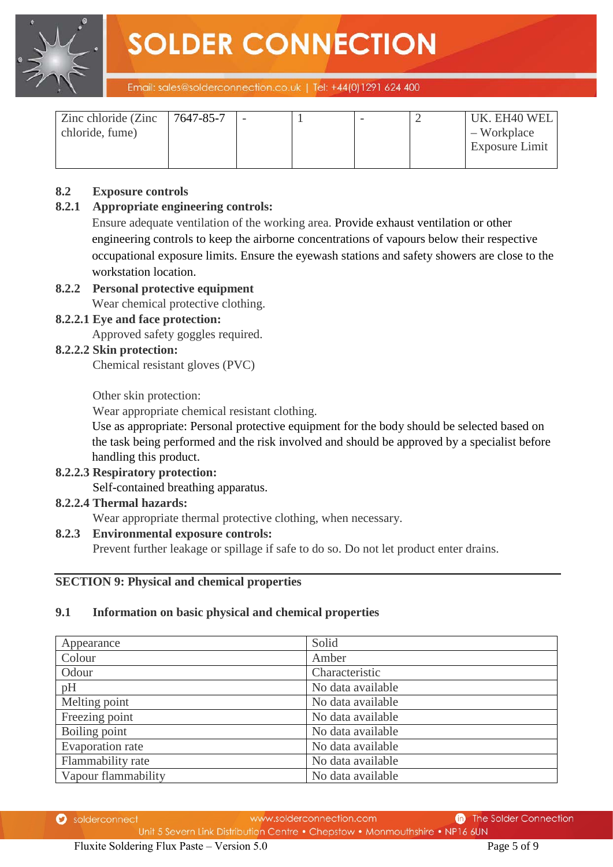**SOLDER CONNECTION** 



Email: sales@solderconnection.co.uk | Tel: +44(0)1291 624 400

| Zinc chloride (Zinc | 7647-85-7 |  |  | UK. EH40 WEL   |
|---------------------|-----------|--|--|----------------|
| chloride, fume)     |           |  |  | $-$ Workplace  |
|                     |           |  |  | Exposure Limit |
|                     |           |  |  |                |

#### **8.2 Exposure controls**

#### **8.2.1 Appropriate engineering controls:**

Ensure adequate ventilation of the working area. Provide exhaust ventilation or other engineering controls to keep the airborne concentrations of vapours below their respective occupational exposure limits. Ensure the eyewash stations and safety showers are close to the workstation location.

### **8.2.2 Personal protective equipment**

Wear chemical protective clothing.

#### **8.2.2.1 Eye and face protection:**

Approved safety goggles required.

#### **8.2.2.2 Skin protection:**

Chemical resistant gloves (PVC)

Other skin protection:

Wear appropriate chemical resistant clothing.

Use as appropriate: Personal protective equipment for the body should be selected based on the task being performed and the risk involved and should be approved by a specialist before handling this product.

#### **8.2.2.3 Respiratory protection:**

Self-contained breathing apparatus.

#### **8.2.2.4 Thermal hazards:**

Wear appropriate thermal protective clothing, when necessary.

#### **8.2.3 Environmental exposure controls:**

Prevent further leakage or spillage if safe to do so. Do not let product enter drains.

#### **SECTION 9: Physical and chemical properties**

#### **9.1 Information on basic physical and chemical properties**

| Appearance          | Solid             |
|---------------------|-------------------|
| Colour              | Amber             |
| Odour               | Characteristic    |
| pH                  | No data available |
| Melting point       | No data available |
| Freezing point      | No data available |
| Boiling point       | No data available |
| Evaporation rate    | No data available |
| Flammability rate   | No data available |
| Vapour flammability | No data available |

www.solderconnection.com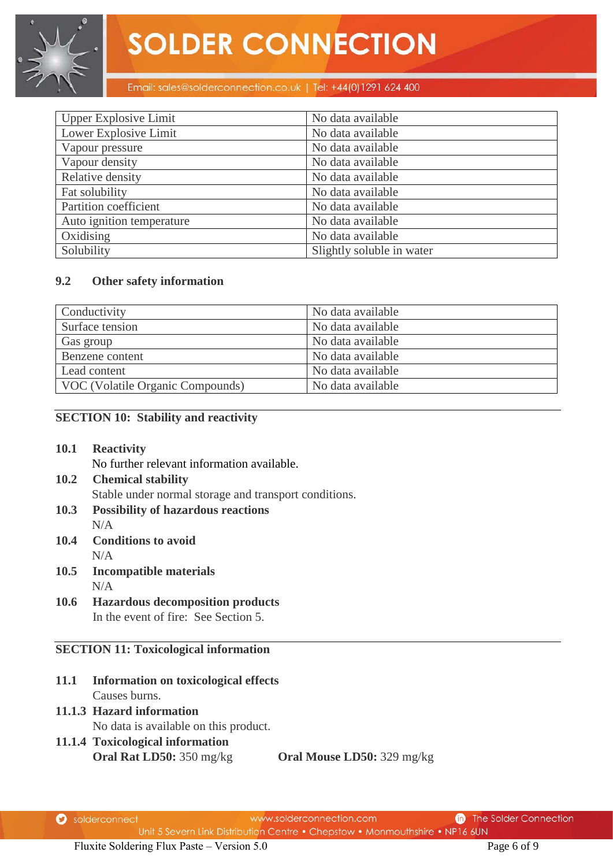#### Email: sales@solderconnection.co.uk | Tel: +44(0)1291 624 400

| <b>Upper Explosive Limit</b> | No data available         |
|------------------------------|---------------------------|
| Lower Explosive Limit        | No data available         |
| Vapour pressure              | No data available         |
| Vapour density               | No data available         |
| Relative density             | No data available         |
| Fat solubility               | No data available         |
| Partition coefficient        | No data available         |
| Auto ignition temperature    | No data available         |
| Oxidising                    | No data available         |
| Solubility                   | Slightly soluble in water |

#### **9.2 Other safety information**

| Conductivity                     | No data available |
|----------------------------------|-------------------|
| Surface tension                  | No data available |
| Gas group                        | No data available |
| Benzene content                  | No data available |
| Lead content                     | No data available |
| VOC (Volatile Organic Compounds) | No data available |

#### **SECTION 10: Stability and reactivity**

**10.1 Reactivity**

No further relevant information available.

- **10.2 Chemical stability** Stable under normal storage and transport conditions.
- **10.3 Possibility of hazardous reactions** N/A
- **10.4 Conditions to avoid** N/A
- **10.5 Incompatible materials** N/A
- **10.6 Hazardous decomposition products** In the event of fire: See Section 5.

#### **SECTION 11: Toxicological information**

- **11.1 Information on toxicological effects**  Causes burns.
- **11.1.3 Hazard information**  No data is available on this product.
- **11.1.4 Toxicological information Oral Rat LD50:** 350 mg/kg **Oral Mouse LD50:** 329 mg/kg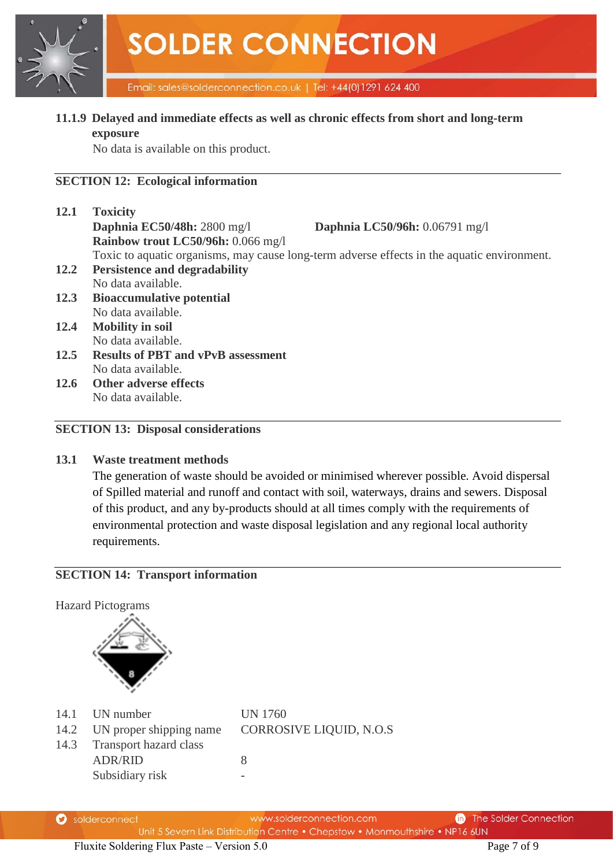

#### **11.1.9 Delayed and immediate effects as well as chronic effects from short and long-term exposure**

No data is available on this product.

#### **SECTION 12: Ecological information**

| 12.1 | <b>Toxicity</b>                                                                             |
|------|---------------------------------------------------------------------------------------------|
|      | Daphnia EC50/48h: 2800 mg/l<br>Daphnia LC50/96h: 0.06791 mg/l                               |
|      | Rainbow trout LC50/96h: 0.066 mg/l                                                          |
|      | Toxic to aquatic organisms, may cause long-term adverse effects in the aquatic environment. |
| 12.2 | <b>Persistence and degradability</b>                                                        |
|      | No data available.                                                                          |
| 12.3 | <b>Bioaccumulative potential</b>                                                            |
|      | No data available.                                                                          |
| 12.4 | <b>Mobility in soil</b>                                                                     |
|      | No data available.                                                                          |
| 12.5 | <b>Results of PBT and vPvB assessment</b>                                                   |
|      | No data available.                                                                          |
| 12.6 | <b>Other adverse effects</b>                                                                |
|      | No data available.                                                                          |

#### **SECTION 13: Disposal considerations**

#### **13.1 Waste treatment methods**

The generation of waste should be avoided or minimised wherever possible. Avoid dispersal of Spilled material and runoff and contact with soil, waterways, drains and sewers. Disposal of this product, and any by-products should at all times comply with the requirements of environmental protection and waste disposal legislation and any regional local authority requirements.

#### **SECTION 14: Transport information**

Hazard Pictograms



- 14.1 UN number UN 1760
- 14.3 Transport hazard class

Subsidiary risk

14.2 UN proper shipping name CORROSIVE LIQUID, N.O.S

ADR/RID 8

|  |  | solderconnect |
|--|--|---------------|
|--|--|---------------|

www.solderconnection.com Unit 5 Severn Link Distribution Centre . Chepstow . Monmouthshire . NP16 6UN

**n** The Solder Connection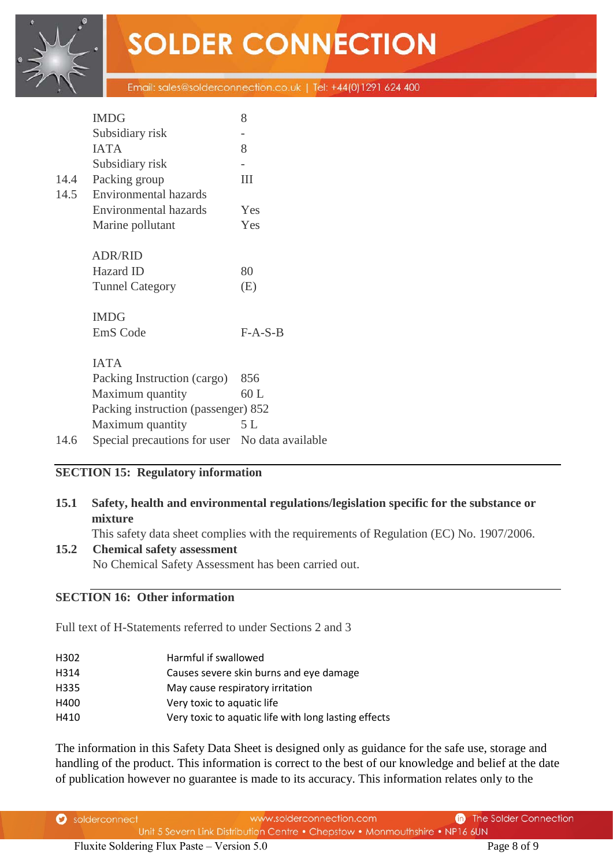# **SOLDER CONNECTION**

Email: sales@solderconnection.co.uk | Tel: +44(0)1291 624 400

|      | <b>IMDG</b>                                    | 8         |  |  |  |
|------|------------------------------------------------|-----------|--|--|--|
|      | Subsidiary risk                                |           |  |  |  |
|      | <b>IATA</b>                                    | 8         |  |  |  |
|      | Subsidiary risk                                |           |  |  |  |
| 14.4 | Packing group                                  | Ш         |  |  |  |
| 14.5 | <b>Environmental hazards</b>                   |           |  |  |  |
|      | <b>Environmental hazards</b>                   | Yes       |  |  |  |
|      | Marine pollutant                               | Yes       |  |  |  |
|      | <b>ADR/RID</b>                                 |           |  |  |  |
|      | Hazard ID                                      | 80        |  |  |  |
|      | <b>Tunnel Category</b>                         | (E)       |  |  |  |
|      | <b>IMDG</b>                                    |           |  |  |  |
|      | EmS Code                                       | $F-A-S-B$ |  |  |  |
|      | <b>IATA</b>                                    |           |  |  |  |
|      | Packing Instruction (cargo)                    | 856       |  |  |  |
|      | Maximum quantity                               | 60 L      |  |  |  |
|      | Packing instruction (passenger) 852            |           |  |  |  |
|      | Maximum quantity                               | 5 L       |  |  |  |
| 14.6 | Special precautions for user No data available |           |  |  |  |

#### **SECTION 15: Regulatory information**

#### **15.1 Safety, health and environmental regulations/legislation specific for the substance or mixture**

This safety data sheet complies with the requirements of Regulation (EC) No. 1907/2006.

#### **15.2 Chemical safety assessment**

No Chemical Safety Assessment has been carried out.

#### **SECTION 16: Other information**

Full text of H-Statements referred to under Sections 2 and 3

| H302 | Harmful if swallowed |
|------|----------------------|
|      |                      |

H314 Causes severe skin burns and eye damage

- H335 May cause respiratory irritation
- H400 Very toxic to aquatic life
- H410 Very toxic to aquatic life with long lasting effects

The information in this Safety Data Sheet is designed only as guidance for the safe use, storage and handling of the product. This information is correct to the best of our knowledge and belief at the date of publication however no guarantee is made to its accuracy. This information relates only to the

| Solderconnect | www.solderconnection.com                                                     | <b>n</b> The Solder Connection |
|---------------|------------------------------------------------------------------------------|--------------------------------|
|               | Unit 5 Severn Link Distribution Centre • Chepstow • Monmouthshire • NP16 6UN |                                |

Fluxite Soldering Flux Paste – Version 5.0 Page 8 of 9